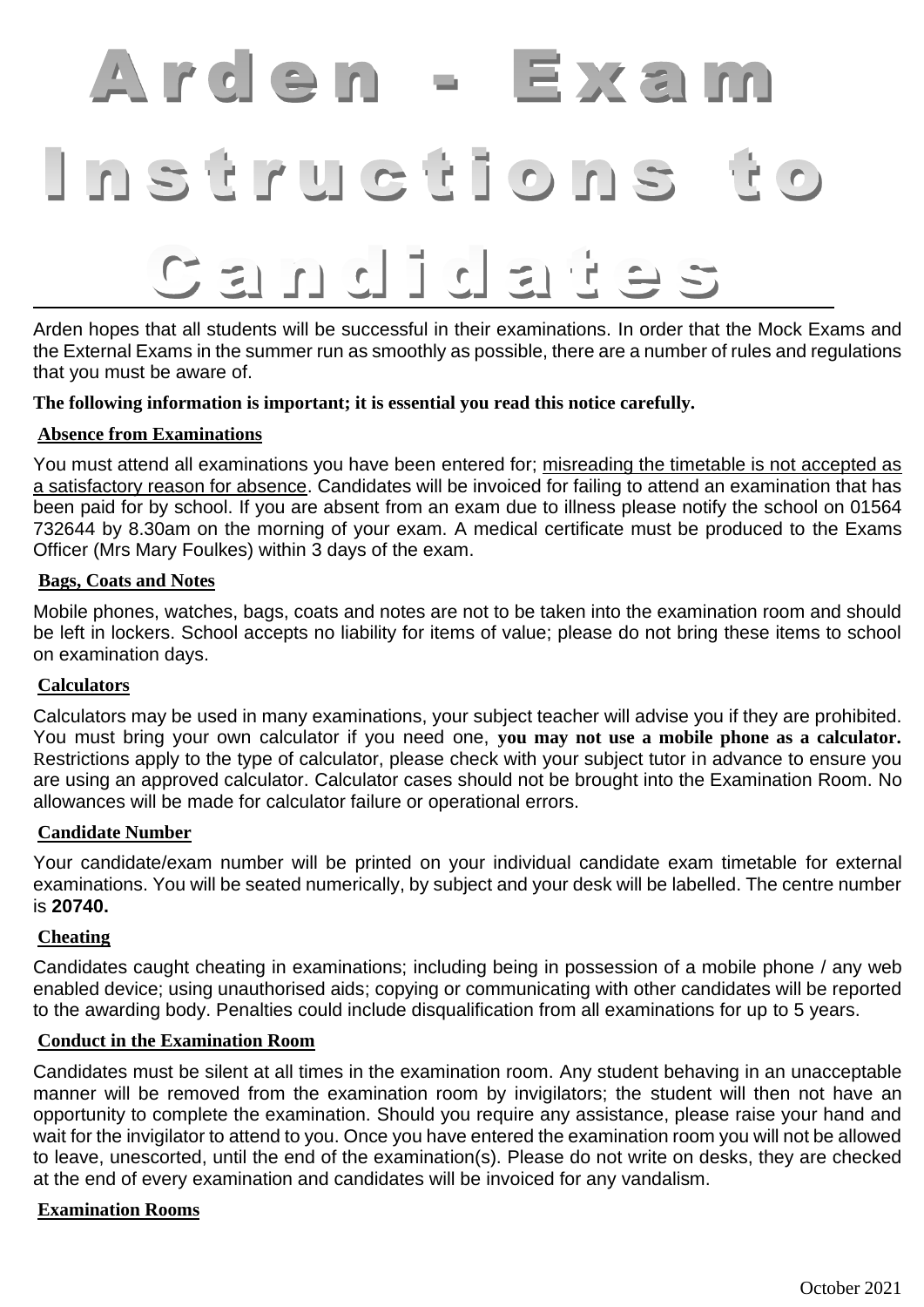# Arden - Exan Instructions

# $\begin{array}{c} \Box \vdash \Box \vdash \Box \vdash \Box \vdash \Box \end{array}$  $\leq$

Arden hopes that all students will be successful in their examinations. In order that the Mock Exams and the External Exams in the summer run as smoothly as possible, there are a number of rules and regulations that you must be aware of.

**The following information is important; it is essential you read this notice carefully.** 

# **Absence from Examinations**

You must attend all examinations you have been entered for; misreading the timetable is not accepted as a satisfactory reason for absence. Candidates will be invoiced for failing to attend an examination that has been paid for by school. If you are absent from an exam due to illness please notify the school on 01564 732644 by 8.30am on the morning of your exam. A medical certificate must be produced to the Exams Officer (Mrs Mary Foulkes) within 3 days of the exam.

#### **Bags, Coats and Notes**

Mobile phones, watches, bags, coats and notes are not to be taken into the examination room and should be left in lockers. School accepts no liability for items of value; please do not bring these items to school on examination days.

# **Calculators**

Calculators may be used in many examinations, your subject teacher will advise you if they are prohibited. You must bring your own calculator if you need one, **you may not use a mobile phone as a calculator.**  Restrictions apply to the type of calculator, please check with your subject tutor in advance to ensure you are using an approved calculator. Calculator cases should not be brought into the Examination Room. No allowances will be made for calculator failure or operational errors.

# **Candidate Number**

Your candidate/exam number will be printed on your individual candidate exam timetable for external examinations. You will be seated numerically, by subject and your desk will be labelled. The centre number is **20740.**

# **Cheating**

Candidates caught cheating in examinations; including being in possession of a mobile phone / any web enabled device; using unauthorised aids; copying or communicating with other candidates will be reported to the awarding body. Penalties could include disqualification from all examinations for up to 5 years.

# **Conduct in the Examination Room**

Candidates must be silent at all times in the examination room. Any student behaving in an unacceptable manner will be removed from the examination room by invigilators; the student will then not have an opportunity to complete the examination. Should you require any assistance, please raise your hand and wait for the invigilator to attend to you. Once you have entered the examination room you will not be allowed to leave, unescorted, until the end of the examination(s). Please do not write on desks, they are checked at the end of every examination and candidates will be invoiced for any vandalism.

# **Examination Rooms**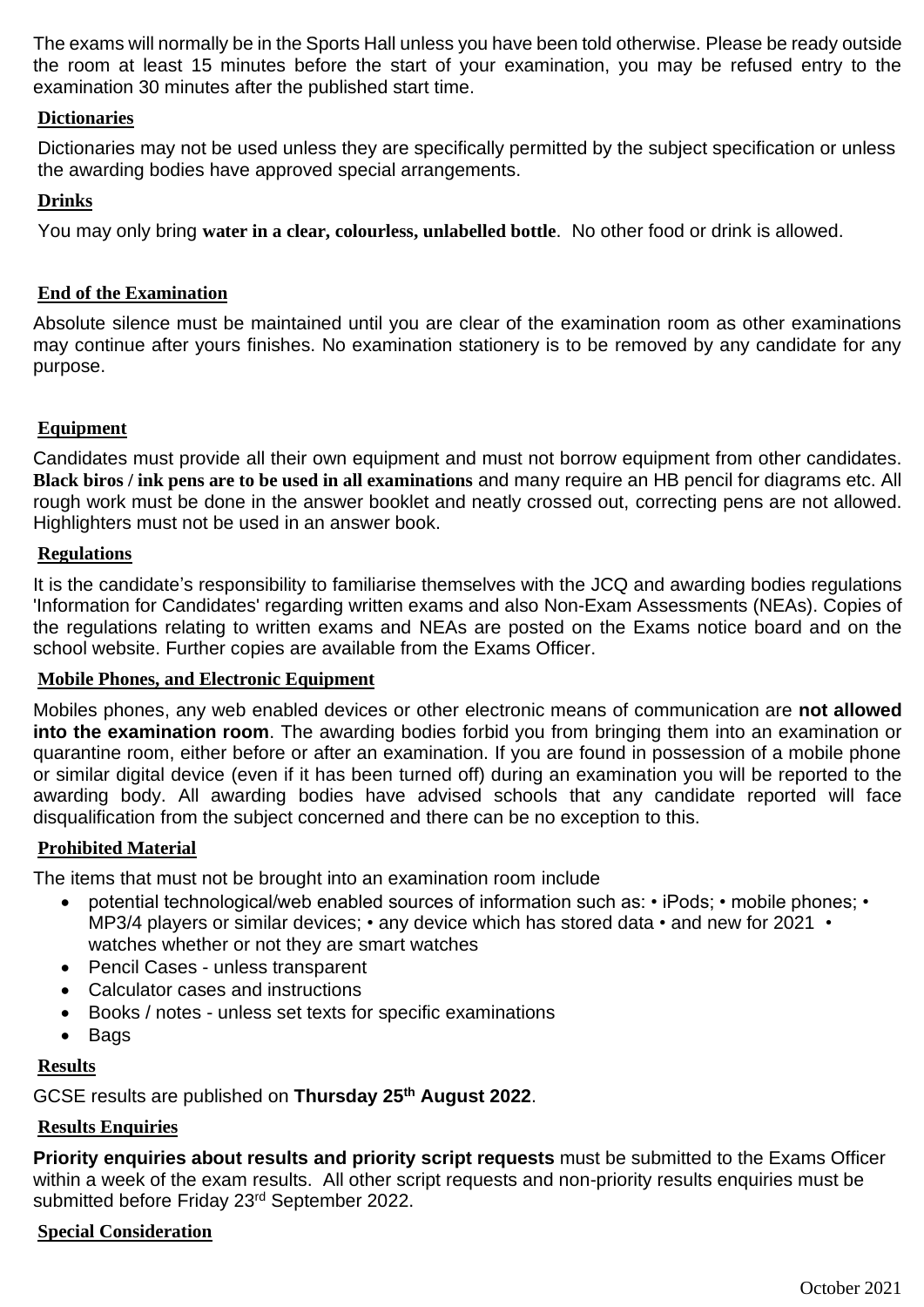The exams will normally be in the Sports Hall unless you have been told otherwise. Please be ready outside the room at least 15 minutes before the start of your examination, you may be refused entry to the examination 30 minutes after the published start time.

# **Dictionaries**

Dictionaries may not be used unless they are specifically permitted by the subject specification or unless the awarding bodies have approved special arrangements.

# **Drinks**

You may only bring **water in a clear, colourless, unlabelled bottle**. No other food or drink is allowed.

# **End of the Examination**

Absolute silence must be maintained until you are clear of the examination room as other examinations may continue after yours finishes. No examination stationery is to be removed by any candidate for any purpose.

# **Equipment**

Candidates must provide all their own equipment and must not borrow equipment from other candidates. **Black biros / ink pens are to be used in all examinations** and many require an HB pencil for diagrams etc. All rough work must be done in the answer booklet and neatly crossed out, correcting pens are not allowed. Highlighters must not be used in an answer book.

# **Regulations**

It is the candidate's responsibility to familiarise themselves with the JCQ and awarding bodies regulations 'Information for Candidates' regarding written exams and also Non-Exam Assessments (NEAs). Copies of the regulations relating to written exams and NEAs are posted on the Exams notice board and on the school website. Further copies are available from the Exams Officer.

# **Mobile Phones, and Electronic Equipment**

Mobiles phones, any web enabled devices or other electronic means of communication are **not allowed into the examination room**. The awarding bodies forbid you from bringing them into an examination or quarantine room, either before or after an examination. If you are found in possession of a mobile phone or similar digital device (even if it has been turned off) during an examination you will be reported to the awarding body. All awarding bodies have advised schools that any candidate reported will face disqualification from the subject concerned and there can be no exception to this.

# **Prohibited Material**

The items that must not be brought into an examination room include

- potential technological/web enabled sources of information such as: iPods; mobile phones; MP3/4 players or similar devices; • any device which has stored data • and new for 2021 • watches whether or not they are smart watches
- Pencil Cases unless transparent
- Calculator cases and instructions
- Books / notes unless set texts for specific examinations
- Bags

# **Results**

GCSE results are published on **Thursday 25th August 2022**.

# **Results Enquiries**

**Priority enquiries about results and priority script requests** must be submitted to the Exams Officer within a week of the exam results. All other script requests and non-priority results enquiries must be submitted before Friday 23<sup>rd</sup> September 2022.

# **Special Consideration**